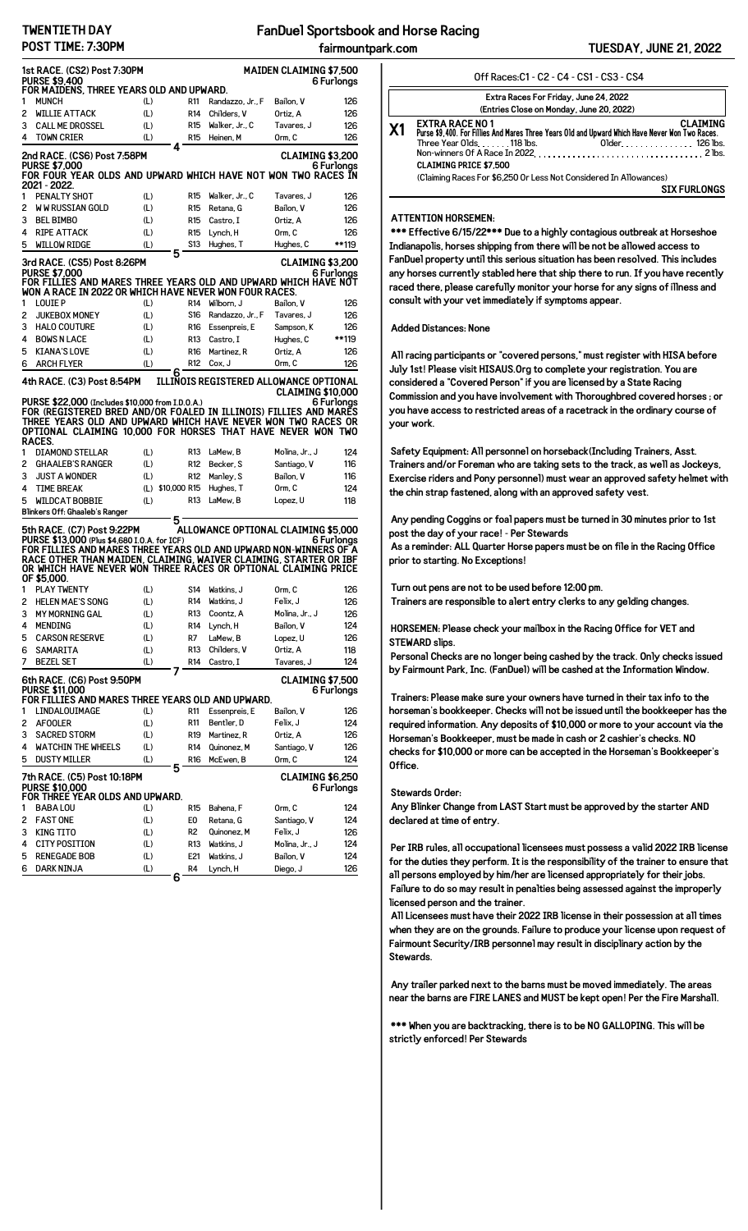## **TWENTIETH DAY POST TIME: 7:30PM**

|                                                                                                                                                                                                                                                                                                                                                                 | 1st RACE. (CS2) Post 7:30PM<br><b>PURSE \$9.400</b><br>FOR MAIDENS, THREE YEARS OLD AND UPWARD.                                                                                                                                                                |                     | <b>MAIDEN CLAIMING \$7,500</b><br>6 Furlonas |                                        |                          |            |  |  |  |
|-----------------------------------------------------------------------------------------------------------------------------------------------------------------------------------------------------------------------------------------------------------------------------------------------------------------------------------------------------------------|----------------------------------------------------------------------------------------------------------------------------------------------------------------------------------------------------------------------------------------------------------------|---------------------|----------------------------------------------|----------------------------------------|--------------------------|------------|--|--|--|
| 1                                                                                                                                                                                                                                                                                                                                                               | <b>MUNCH</b>                                                                                                                                                                                                                                                   | (L)                 | R11                                          | Randazzo, Jr., F                       | Bailon, V                | 126        |  |  |  |
| 2                                                                                                                                                                                                                                                                                                                                                               | <b>WILLIE ATTACK</b>                                                                                                                                                                                                                                           | (L)                 | R <sub>14</sub>                              | Childers, V                            | Ortiz, A                 | 126        |  |  |  |
| 3                                                                                                                                                                                                                                                                                                                                                               | <b>CALL ME DROSSEL</b>                                                                                                                                                                                                                                         | (L)                 | R <sub>15</sub>                              | Walker, Jr., C                         | Tavares, J               | 126        |  |  |  |
| 4                                                                                                                                                                                                                                                                                                                                                               | <b>TOWN CRIER</b>                                                                                                                                                                                                                                              | (L)                 | <b>R15</b>                                   | Heinen, M                              | Orm, C                   | 126        |  |  |  |
|                                                                                                                                                                                                                                                                                                                                                                 |                                                                                                                                                                                                                                                                | 4                   |                                              |                                        |                          |            |  |  |  |
| 2nd RACE. (CS6) Post 7:58PM<br>CLAIMING \$3.200<br><b>PURSE \$7,000</b><br>6 Furlongs<br>FOR FOUR YEAR OLDS AND UPWARD WHICH HAVE NOT WON TWO RACES IN<br>2021 - 2022.                                                                                                                                                                                          |                                                                                                                                                                                                                                                                |                     |                                              |                                        |                          |            |  |  |  |
| 1                                                                                                                                                                                                                                                                                                                                                               | PENALTY SHOT                                                                                                                                                                                                                                                   | (L)                 | R15                                          | Walker, Jr., C                         | Tavares, J               | 126        |  |  |  |
| 2                                                                                                                                                                                                                                                                                                                                                               | <b>WW RUSSIAN GOLD</b>                                                                                                                                                                                                                                         | (L)                 | R <sub>15</sub>                              | Retana, G                              | Bailon. V                | 126        |  |  |  |
| 3                                                                                                                                                                                                                                                                                                                                                               | <b>BEL BIMBO</b>                                                                                                                                                                                                                                               | (L)                 | R15                                          | Castro, I                              | Ortiz, A                 | 126        |  |  |  |
| 4                                                                                                                                                                                                                                                                                                                                                               | <b>RIPE ATTACK</b>                                                                                                                                                                                                                                             | (L)                 | R15                                          | Lynch, H                               | Orm, C                   | 126        |  |  |  |
| 5                                                                                                                                                                                                                                                                                                                                                               | <b>WILLOW RIDGE</b>                                                                                                                                                                                                                                            | (L)                 | S13                                          | Hughes, T                              | Hughes, C                | **119      |  |  |  |
| 5<br>3rd RACE. (CS5) Post 8:26PM<br><b>CLAIMING \$3,200</b><br>PURSE \$7.000<br>6 Furlonas<br>FOR FILLIES AND MARES THREE YEARS OLD AND UPWARD WHICH HAVE NOT<br>WON A RACE IN 2022 OR WHICH HAVE NEVER WON FOUR RACES.                                                                                                                                         |                                                                                                                                                                                                                                                                |                     |                                              |                                        |                          |            |  |  |  |
| 1                                                                                                                                                                                                                                                                                                                                                               | <b>LOUIE P</b>                                                                                                                                                                                                                                                 | (L)                 | R <sub>14</sub>                              | Wilborn, J                             | Bailon, V                | 126        |  |  |  |
| 2                                                                                                                                                                                                                                                                                                                                                               | <b>JUKEBOX MONEY</b>                                                                                                                                                                                                                                           | (L)                 | S16                                          | Randazzo, Jr., F                       | Tavares, J               | 126        |  |  |  |
| 3                                                                                                                                                                                                                                                                                                                                                               | <b>HALO COUTURE</b>                                                                                                                                                                                                                                            | (L)                 | R16                                          | Essenpreis, E                          | Sampson, K               | 126        |  |  |  |
| 4                                                                                                                                                                                                                                                                                                                                                               | <b>BOWS N LACE</b>                                                                                                                                                                                                                                             | (L)                 | R13                                          | Castro, I                              | Hughes, C                | **119      |  |  |  |
| 5                                                                                                                                                                                                                                                                                                                                                               | <b>KIANA'S LOVE</b>                                                                                                                                                                                                                                            | (L)                 | R16                                          | Martinez, R                            | Ortiz, A                 | 126        |  |  |  |
| 6                                                                                                                                                                                                                                                                                                                                                               | <b>ARCH FLYER</b>                                                                                                                                                                                                                                              | (L)                 | R12                                          | Cox, J                                 | Orm, C                   | 126        |  |  |  |
|                                                                                                                                                                                                                                                                                                                                                                 | 4th RACE. (C3) Post 8:54PM                                                                                                                                                                                                                                     | 6                   |                                              | ILLINOIS REGISTERED ALLOWANCE OPTIONAL | <b>CLAIMING \$10,000</b> |            |  |  |  |
|                                                                                                                                                                                                                                                                                                                                                                 | PURSE \$22,000 (Includes \$10,000 from I.D.O.A.)<br>FOR (REGISTERED BRED AND/OR FOALED IN ILLINOIS) FILLIES AND MARÉS<br>THREE YEARS OLD AND UPWARD WHICH HAVE NEVER WON TWO RACES OR<br>OPTIONAL CLAIMING 10.000 FOR HORSES THAT HAVE NEVER WON TWO<br>RACES. |                     |                                              |                                        |                          | 6 Furlonas |  |  |  |
| 1                                                                                                                                                                                                                                                                                                                                                               | <b>DIAMOND STELLAR</b>                                                                                                                                                                                                                                         | (L)                 | R13                                          | LaMew, B                               | Molina, Jr., J           | 124        |  |  |  |
| 2                                                                                                                                                                                                                                                                                                                                                               | <b>GHAALEB'S RANGER</b>                                                                                                                                                                                                                                        | (L)                 | R <sub>12</sub>                              | Becker, S                              | Santiago, V              | 116        |  |  |  |
| 3                                                                                                                                                                                                                                                                                                                                                               | <b>JUST A WONDER</b>                                                                                                                                                                                                                                           | (L)                 | R12                                          | Manley, S                              | Bailon, V                | 116        |  |  |  |
| 4                                                                                                                                                                                                                                                                                                                                                               | <b>TIME BREAK</b>                                                                                                                                                                                                                                              | (L)<br>\$10,000 R15 |                                              | Hughes, T                              | Orm, C                   | 124        |  |  |  |
| 5                                                                                                                                                                                                                                                                                                                                                               | <b>WILDCAT BOBBIE</b>                                                                                                                                                                                                                                          | (L)                 | R13                                          | LaMew, B                               | Lopez, U                 | 118        |  |  |  |
|                                                                                                                                                                                                                                                                                                                                                                 | Blinkers Off: Ghaaleb's Ranger                                                                                                                                                                                                                                 |                     |                                              |                                        |                          |            |  |  |  |
| 5<br>ALLOWANCE OPTIONAL CLAIMING \$5.000<br>5th RACE. (C7) Post 9:22PM<br>PURSE \$13,000 (Plus \$4,680 I.O.A. for ICF)<br>6 Furlongs<br>FOR FILLIES AND MARES THREE YEARS OLD AND UPWARD NON-WINNERS OF A<br>RACE OTHER THAN MAIDEN. CLAIMING. WAIVER CLAIMING. STARTER OR IBF<br>OR WHICH HAVE NEVER WON THREE RACES OR OPTIONAL CLAIMING PRICE<br>OF \$5,000. |                                                                                                                                                                                                                                                                |                     |                                              |                                        |                          |            |  |  |  |
| 1                                                                                                                                                                                                                                                                                                                                                               | <b>PLAY TWENTY</b>                                                                                                                                                                                                                                             | (L)                 | S14                                          | Watkins, J                             | Orm, C                   | 126        |  |  |  |
| 2                                                                                                                                                                                                                                                                                                                                                               | <b>HELEN MAE'S SONG</b>                                                                                                                                                                                                                                        | (L)                 | R14                                          | Watkins, J                             | Felix. J                 | 126        |  |  |  |
| з                                                                                                                                                                                                                                                                                                                                                               | <b>MY MORNING GAL</b>                                                                                                                                                                                                                                          | (L)                 | R13                                          | Coontz, A                              | Molina, Jr., J           | 126        |  |  |  |
| 4                                                                                                                                                                                                                                                                                                                                                               | <b>MENDING</b>                                                                                                                                                                                                                                                 | (L)                 | R14                                          | Lynch, H                               | Bailon, V                | 124        |  |  |  |
| 5                                                                                                                                                                                                                                                                                                                                                               | <b>CARSON RESERVE</b>                                                                                                                                                                                                                                          | (L)                 | R7                                           | LaMew, B                               | Lopez, U                 | 126        |  |  |  |
| 6                                                                                                                                                                                                                                                                                                                                                               | SAMARITA                                                                                                                                                                                                                                                       | (L)                 | R13                                          | Childers, V                            | Ortiz, A                 | 118        |  |  |  |
| <b>BEZEL SET</b><br>(L)<br>7<br>R14<br>Castro. I<br>Tavares, J<br>124<br>7<br>CLAIMING \$7,500<br>6th RACE. (C6) Post 9:50PM<br><b>PURSE \$11,000</b><br>6 Furlongs<br>FOR FILLIES AND MARES THREE YEARS OLD AND UPWARD.                                                                                                                                        |                                                                                                                                                                                                                                                                |                     |                                              |                                        |                          |            |  |  |  |
| 1                                                                                                                                                                                                                                                                                                                                                               | LINDALOUIMAGE                                                                                                                                                                                                                                                  | (L)                 | R11                                          | Essenpreis, E                          | Bailon, V                | 126        |  |  |  |
| 2                                                                                                                                                                                                                                                                                                                                                               | <b>AFOOLER</b>                                                                                                                                                                                                                                                 | (L)                 | R11                                          | Bentler, D                             | Felix, J                 | 124        |  |  |  |
| з                                                                                                                                                                                                                                                                                                                                                               | <b>SACRED STORM</b>                                                                                                                                                                                                                                            | (L)                 | R19                                          | Martinez, R                            | Ortiz, A                 | 126        |  |  |  |
| 4                                                                                                                                                                                                                                                                                                                                                               | <b>WATCHIN THE WHEELS</b>                                                                                                                                                                                                                                      | (L)                 | R14                                          | Quinonez, M                            | Santiago, V              | 126        |  |  |  |
| 5                                                                                                                                                                                                                                                                                                                                                               | <b>DUSTY MILLER</b>                                                                                                                                                                                                                                            | (L)                 | R <sub>16</sub>                              | McEwen, B                              | Orm. C                   | 124        |  |  |  |
| 5<br><b>CLAIMING \$6,250</b><br>7th RACE. (C5) Post 10:18PM<br><b>PURSE \$10,000</b><br>6 Furlongs<br>FOR THREE YEAR OLDS AND UPWARD.                                                                                                                                                                                                                           |                                                                                                                                                                                                                                                                |                     |                                              |                                        |                          |            |  |  |  |
| 1                                                                                                                                                                                                                                                                                                                                                               | <b>BABA LOU</b>                                                                                                                                                                                                                                                | (L)                 | R15                                          | Bahena, F                              | Orm, C                   | 124        |  |  |  |
| 2                                                                                                                                                                                                                                                                                                                                                               | <b>FAST ONE</b>                                                                                                                                                                                                                                                | (L)                 | E0                                           | Retana, G                              | Santiago, V              | 124        |  |  |  |
| 3                                                                                                                                                                                                                                                                                                                                                               | <b>KING TITO</b>                                                                                                                                                                                                                                               | (L)                 | R2                                           | Quinonez, M                            | Felix, J                 | 126        |  |  |  |
| 4                                                                                                                                                                                                                                                                                                                                                               | <b>CITY POSITION</b>                                                                                                                                                                                                                                           | (L)                 | R13                                          | Watkins, J                             | Molina, Jr., J           | 124        |  |  |  |
| 5                                                                                                                                                                                                                                                                                                                                                               | <b>RENEGADE BOB</b>                                                                                                                                                                                                                                            | (L)                 | E21                                          | Watkins, J                             | Bailon, V                | 124        |  |  |  |
| 6                                                                                                                                                                                                                                                                                                                                                               | DARK NINJA                                                                                                                                                                                                                                                     | (L)                 | R4                                           | Lynch, H                               | Diego, J                 | 126        |  |  |  |
|                                                                                                                                                                                                                                                                                                                                                                 |                                                                                                                                                                                                                                                                | 6                   |                                              |                                        |                          |            |  |  |  |

|                                          | Off Races: C1 - C2 - C4 - CS1 - CS3 - CS4                                                                                                            |                                    |  |  |  |  |  |
|------------------------------------------|------------------------------------------------------------------------------------------------------------------------------------------------------|------------------------------------|--|--|--|--|--|
| Extra Races For Friday, June 24, 2022    |                                                                                                                                                      |                                    |  |  |  |  |  |
| (Entries Close on Monday, June 20, 2022) |                                                                                                                                                      |                                    |  |  |  |  |  |
| X1                                       | <b>EXTRA RACE NO 1</b><br>Purse \$9,400. For Fillies And Mares Three Years Old and Upward Which Have Never Won Two Races.<br>Three Year Olds118 lbs. | <b>CLAIMING</b><br>Older. 126 lbs. |  |  |  |  |  |
|                                          | Non-winners Of A Race In 2022. $\ldots$ . $\ldots$ . $\ldots$ . $\ldots$ . $\ldots$ . $\ldots$ . $\ldots$ . 2 lbs.<br><b>CLAIMING PRICE \$7.500</b>  |                                    |  |  |  |  |  |
|                                          | (Claiming Races For \$6,250 Or Less Not Considered In Allowances)                                                                                    |                                    |  |  |  |  |  |
|                                          |                                                                                                                                                      | <b>SIX FURLONGS</b>                |  |  |  |  |  |

### **ATTENTION HORSEMEN:**

**\*\*\* Effective 6/15/22\*\*\* Due to a highly contagious outbreak at Horseshoe Indianapolis, horses shipping from there will be not be allowed access to FanDuel property until this serious situation has been resolved. This includes any horses currently stabled here that ship there to run. If you have recently raced there, please carefully monitor your horse for any signs of illness and consult with your vet immediately if symptoms appear.**

#### **Added Distances: None**

**All racing participants or "covered persons," must register with HISA before July 1st! Please visit HISAUS.Org to complete your registration. You are considered a "Covered Person" if you are licensed by a State Racing Commission and you have involvement with Thoroughbred covered horses ; or you have access to restricted areas of a racetrack in the ordinary course of your work.**

**Safety Equipment: All personnel on horseback(Including Trainers, Asst. Trainers and/or Foreman who are taking sets to the track, as well as Jockeys, Exercise riders and Pony personnel) must wear an approved safety helmet with the chin strap fastened, along with an approved safety vest.**

**Any pending Coggins or foal papers must be turned in 30 minutes prior to 1st post the day of your race! - Per Stewards**

**As a reminder: ALL Quarter Horse papers must be on file in the Racing Office prior to starting. No Exceptions!**

**Turn out pens are not to be used before 12:00 pm. Trainers are responsible to alert entry clerks to any gelding changes.**

**HORSEMEN: Please check your mailbox in the Racing Office for VET and STEWARD slips.**

**Personal Checks are no longer being cashed by the track. Only checks issued by Fairmount Park, Inc. (FanDuel) will be cashed at the Information Window.**

**Trainers: Please make sure your owners have turned in their tax info to the horseman's bookkeeper. Checks will not be issued until the bookkeeper has the required information. Any deposits of \$10,000 or more to your account via the Horseman's Bookkeeper, must be made in cash or 2 cashier's checks. NO checks for \$10,000 or more can be accepted in the Horseman's Bookkeeper's Office.**

#### **Stewards Order:**

**Any Blinker Change from LAST Start must be approved by the starter AND declared at time of entry.**

**Per IRB rules, all occupational licensees must possess a valid 2022 IRB license for the duties they perform. It is the responsibility of the trainer to ensure that all persons employed by him/her are licensed appropriately for their jobs. Failure to do so may result in penalties being assessed against the improperly licensed person and the trainer.**

**All Licensees must have their 2022 IRB license in their possession at all times when they are on the grounds. Failure to produce your license upon request of Fairmount Security/IRB personnel may result in disciplinary action by the Stewards.**

**Any trailer parked next to the barns must be moved immediately. The areas near the barns are FIRE LANES and MUST be kept open! Per the Fire Marshall.**

**\*\*\* When you are backtracking, there is to be NO GALLOPING. This will be strictly enforced! Per Stewards**